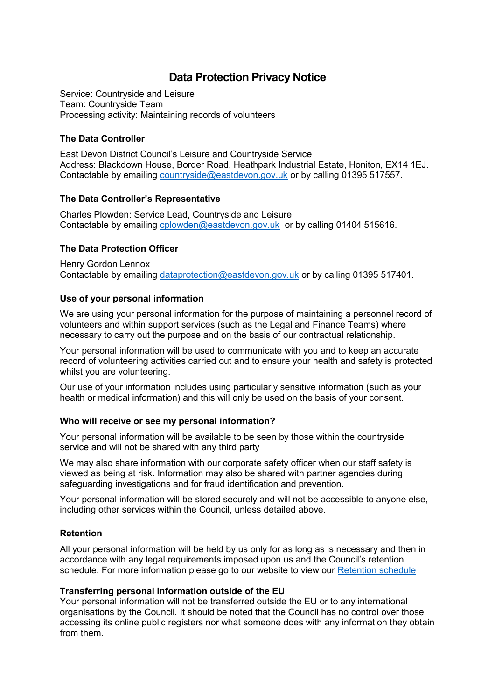# **Data Protection Privacy Notice**

Service: Countryside and Leisure Team: Countryside Team Processing activity: Maintaining records of volunteers

### **The Data Controller**

East Devon District Council's Leisure and Countryside Service Address: Blackdown House, Border Road, Heathpark Industrial Estate, Honiton, EX14 1EJ. Contactable by emailing [countryside@eastdevon.gov.uk](mailto:countryside@eastdevon.gov.uk) or by calling 01395 517557.

### **The Data Controller's Representative**

Charles Plowden: Service Lead, Countryside and Leisure Contactable by emailing [cplowden@eastdevon.gov.uk](mailto:cplowden@eastdevon.gov.uk) or by calling 01404 515616.

### **The Data Protection Officer**

Henry Gordon Lennox Contactable by emailing [dataprotection@eastdevon.gov.uk](mailto:dataprotection@eastdevon.gov.uk) or by calling 01395 517401.

### **Use of your personal information**

We are using your personal information for the purpose of maintaining a personnel record of volunteers and within support services (such as the Legal and Finance Teams) where necessary to carry out the purpose and on the basis of our contractual relationship.

Your personal information will be used to communicate with you and to keep an accurate record of volunteering activities carried out and to ensure your health and safety is protected whilst you are volunteering.

Our use of your information includes using particularly sensitive information (such as your health or medical information) and this will only be used on the basis of your consent.

### **Who will receive or see my personal information?**

Your personal information will be available to be seen by those within the countryside service and will not be shared with any third party

We may also share information with our corporate safety officer when our staff safety is viewed as being at risk. Information may also be shared with partner agencies during safeguarding investigations and for fraud identification and prevention.

Your personal information will be stored securely and will not be accessible to anyone else, including other services within the Council, unless detailed above.

## **Retention**

All your personal information will be held by us only for as long as is necessary and then in accordance with any legal requirements imposed upon us and the Council's retention schedule. For more information please go to our website to view our [Retention schedule](http://eastdevon.gov.uk/access-to-information/data-protection/document-retention-schedules/)

### **Transferring personal information outside of the EU**

Your personal information will not be transferred outside the EU or to any international organisations by the Council. It should be noted that the Council has no control over those accessing its online public registers nor what someone does with any information they obtain from them.